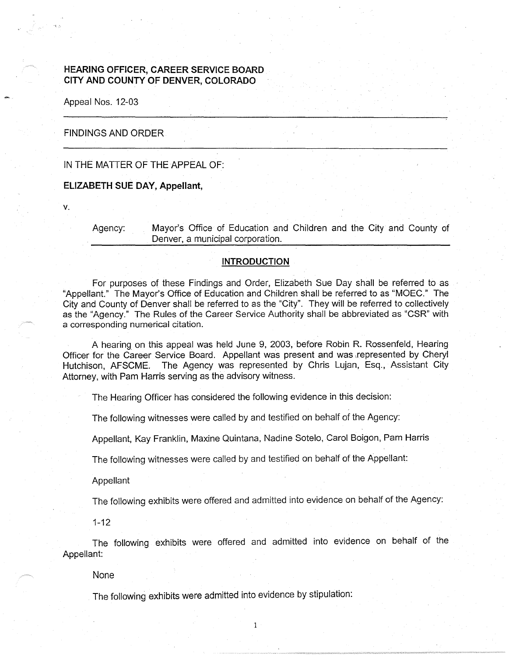# **HEARING OFFICER, CAREER SERVICE BOARD CITY AND COUNTY OF DENVER, COLORADO**

Appeal Nos. 12-03

## FINDINGS AND ORDER

# IN THE MATTER OF THE APPEAL OF:

#### **ELIZABETH SUE DAY, Appellant,**

**V.** 

Agency: Mayor's Office of Education and Children and the City and County of Denver, a municipal corporation.

### **INTRODUCTION**

For purposes of these Findings and Order, Elizabeth Sue Day shall be referred to as "Appellant." The Mayor's Office of Education and Children shall be referred to as "MOEC." The City and County of Denver shall be referred to as the "City". They will be referred to collectively as the "Agency." The Rules of the Career Service Authority shall be abbreviated as "CSR" with a corresponding numerical citation.

A hearing on this appeal was held June 9, 2003, before Robin R. Rossenfeld, Hearing Officer for the Career Service Board. Appellant was present and was ,represented by Cheryl Hutchison, AFSCME. The Agency was represented by Chris Lujan, Esq., Assistant City Attorney, with Pam Harris serving as the advisory witness.

The Hearing Officer has considered the following evidence in this decision:

The following witnesses were called by and testified on behalf of the Agency:

Appellant, Kay Franklin, Maxine Quintana, Nadine Sotelo, Carol Boigon, Pam Harris

The following witnesses were called by and testified on behalf of the Appellant:

Appellant

The following exhibits were offered and admitted into evidence on behalf of the Agency:

1-12

The following exhibits were offered and admitted into evidence on behalf of the Appellant:

1

None

The following exhibits were admitted into evidence by stipulation: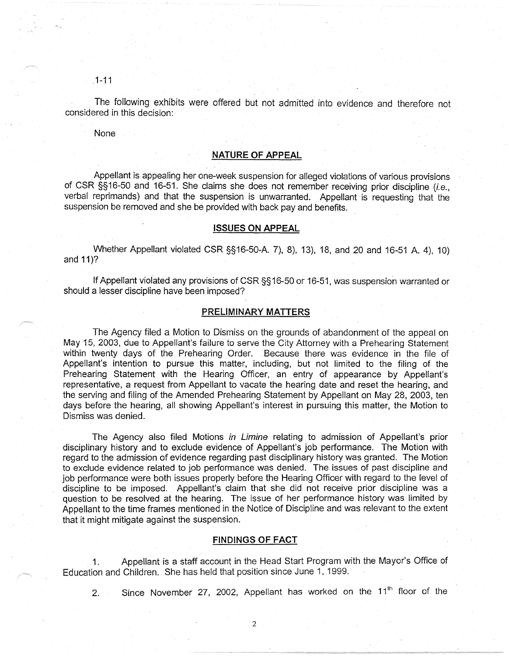1-11

The following exhibits were offered but not admitted into evidence and therefore not considered in this decision:

None

#### **NATURE OF APPEAL**

. Appellant is appealing her one-week suspension for alleged violations of various provisions of CSR §§16-50 and 16-51. She claims she does not remember receiving prior discipline (i.e., verbal reprimands) and that the suspension is unwarranted. Appellant is requesting that the suspension be removed and she be provided with back pay and benefits.

#### **ISSUES ON APPEAL**

Whether Appellant violated CSR §§16-50-A. 7), 8), 13), 18, and 20 and 16-51 A. 4), 10) and 11)?

If Appellant violated any provisions of CSR §§ 16-50 or 16-51, was suspension warranted or should a lesser discipline have been imposed?

## **PRELIMINARY MATTERS**

The Agency filed a Motion to Dismiss on the grounds of abandonment of the appeal on May 15, 2003, due to Appellant's failure to serve the City Attorney with a Prehearing Statement within twenty days of the Prehearing Order. Because there was evidence in the file of Appellant's intention to pursue this matter, including, but not limited to the filing of the Prehearing Statement with the Hearing Officer, an entry of appearance by Appellant's representative, a request from Appellant to vacate the hearing date and reset the hearing, and the serving and filing of the Amended Prehearing Statement by Appellant on May 28, 2003, ten days before the hearing, all showing Appellant's interest in pursuing this matter, the Motion to Dismiss was denied.

The Agency also filed Motions in Limine relating to admission of Appellant's prior disciplinary history and to exclude evidence of Appellant's job performance. The Motion with regard to the admission of evidence regarding past disciplinary history was granted. The Motion to exclude evidence related to job performance was denied. The issues of past discipline and job performance were both issues properly before the Hearing Officer with regard to the level of discipline to be imposed. Appellant's claim that she did not receive prior discipline was a question to be resolved at the hearing. The issue of her performance history was limited by Appellant to the time frames mentioned in the Notice of Discipline and was relevant to the extent that it might mitigate against the suspension.

### **FINDINGS OF FACT**

1. Appellant is a staff account in the Head Start Program with the Mayor's Office of Education and Children. She has held that position since June 1, 1999.

2. Since November 27, 2002, Appellant has worked on the  $11<sup>th</sup>$  floor of the

2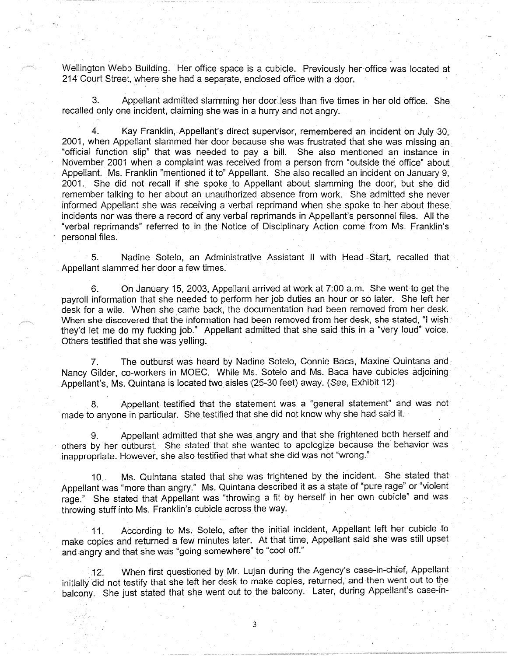Wellington Webb Building. Her office space is a cubicle. Previously her office was located at 214 Court Street, where she had a separate, enclosed office with a door.

3. Appellant admitted slamming her doorJess than five times in her old office. She recalled only one incident, claiming she was in a hurry and not angry.

4. Kay Franklin, Appellant's direct supervisor, remembered an incident on· July 30, 2001, when Appellant slammed her door because she was frustrated that she was missing an\_ "official function slip" that was needed to pay a bill. She also mentioned an instance in November 2001 when a complaint was received from a person from "outside the office" about Appellant. Ms. Franklin "mentioned it to" Appellant. She also recalled an incident on January 9, 2001. She did not recall if she spoke to Appellant about slamming the door, but she did remember talking to her about an unauthorized absence from work. She admitted she never informed Appellant she was receiving a verbal reprimand when she spoke to her about these. incidents nor was there a record of any verbaf reprimands in Appellant's personnel files. All the "verbal reprimands" referred to in the Notice of Disciplinary Action come from Ms. Franklin's personal files.

5. Nadine Sotelo, an Administrative Assistant II with Head Start, recalled that Appellant slammed her door a few times.

6. On January 15, 2003, Appellant arrived at work at 7:00 a.m. She went to getthe payroll information that she needed to perform her job duties an hour or so later. She left her desk for a wile. When she came back, the documentation had been removed from her desk. When she discovered that the information had been removed from her desk, she stated, "I wish · they'd let me do my fucking job." Appellant admitted that she said this in a "very loud" voice. Others testified that she was yelling.

7. The outburst was heard by Nadine Sotelo, Connie Baca, Maxine Quintana and Nancy Gilder, co-workers in MOEC. While Ms. Sotelo and Ms. Baca have cubicles adjoining . Appellant's, Ms. Quintana is located two aisles (25-30 feet) away. ( *See,* Exhibit 12)

8. Appellant testified that the statement was a "general statement" and was not made to anyone in particular. She testified that she did not know why she had said it.

Appellant admitted that she was angry and that she frightened both herself and others by her outburst. She stated that she wanted to apologize because the behavior was inappropriate. However, she also testified that what she did was not "wrong."

10. Ms. Quintana stated that she was frightened by the incident. She stated that Appellant was "more than angry." Ms. Quintana described it as a state of "pure rage" or "violent rage." She stated that Appellant was "throwing a fit by herself in her own cubicle" and was throwing stuff into Ms. Franklin's cubicle across the way.

11. According to Ms. Sotelo, after the initial incident, Appellant left her cubicle to · make copies and returned a few minutes later. At that time, Appellant said she was still upset and angry and that she was "going somewhere" to "cool off."

12. When first questioned by Mr. Lujan during the Agency's case-in-chief, Appellant initially did not testify that she left her desk to make copies, returned, and then went out to the balcony. She just stated that she went out to the balcony. Later, during Appellant's case-in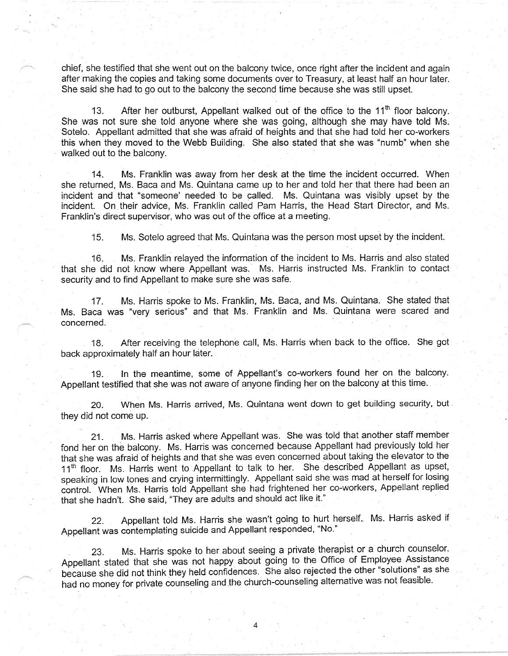chief, she testified that she went out on the balcony twice, once right after the incident and again after making the copies and taking some documents over to Treasury, at least half an hour later; She said she had to go out to the balcony the second time because she was still upset.

13. After her outburst, Appellant walked out of the office to the  $11<sup>th</sup>$  floor balcony. She was not sure she told anyone where she was going, although she may have told Ms. Sotelo. Appellant admitted that she was afraid of heights and that she had told her co-workers this when they moved to the Webb Building. She also stated that she was "numb" when she walked out to the balcony.

14. Ms. Franklin was away from her desk at the time the incident occurred. When she returned, Ms. Baca and Ms. Quintana came up to her and told her that there had been an incident and that "someone' needed to be called. Ms. Quintana was visibly upset by the incident. On. their advice, Ms. Franklin called Pam Harris, the Head Start Director, and Ms. Franklin's direct supervisor, who was out of the office at a meeting.

15. Ms. Sotelo agreed that Ms. Quintana was the person most upset by the incident.

16. Ms. Franklin relayed the information of the incident to Ms. Harris and also stated that she did not know where Appellant was. Ms. Harris instructed Ms. Franklin to contact security and to find Appellant to make sure she was safe.

17. Ms. Harris spoke to Ms. Franklin, Ms. Baca, and Ms. Quintana. She stated that Ms. Baca was "very serious" and that Ms. Franklin and Ms. Quintana were scared and concerned.

18. After receiving the telephone call, Ms. Harris when back to the office. She got back approximately half an hour later.

19. In the meantime, some of Appellant's co-workers found her on the balcony. Appellant testified that she was not aware of anyone finding her on the balcony at this time.

20. When Ms. Harris arrived, Ms. Quintana went down to get building security, but they did not come up.

21. Ms. Harris asked where Appellant was. She was told that another staff member fond her on the balcony. Ms. Harris was concerned because Appellant had previously told her that she was afraid of heights and that she was even concerned about taking the elevator to the 11<sup>th</sup> floor. Ms. Harris went to Appellant to talk to her. She described Appellant as upset, speaking in low tones and crying intermittingly. Appellant said she was mad at herself for losing control. When Ms. Harris told Appellant she had frightened her co-workers, Appellant replied that she hadn't. She said, "They are adults and should act like it."

22. Appellant told Ms. Harris she wasn't going to hurt herself. Ms. Harris asked if Appellant was contemplating suicide and Appellant responded, "No."

23. Ms. Harris spoke to her about seeing a private therapist or a church counselor. Appellant stated that she was not happy about going to the Office of Employee Assistance because she did not think they held confidences. She also rejected the other "solutions" as she had no money for private counseling and the church-counseling alternative was not feasible.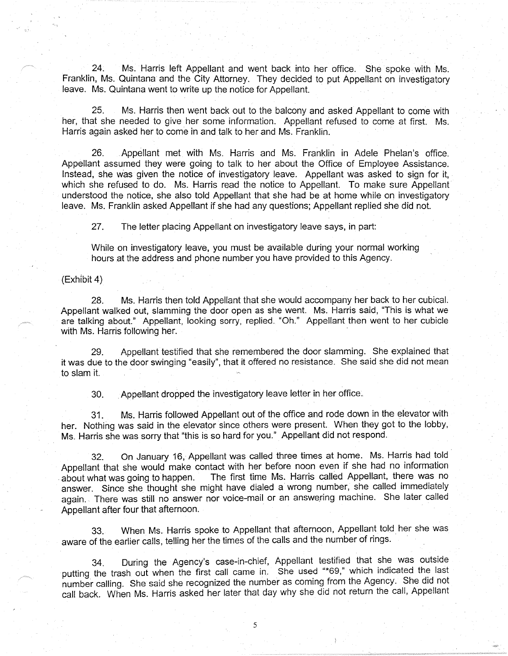24. Ms. Harris left Appellant and went back into her office. She spoke with Ms. Franklin, Ms. Quintana and the City Attorney. They decided to put Appellant on investigatory leave. Ms. Quintana went to write up the notice for Appellant.

25. Ms. Harris then went back out to the balcony and asked Appellant to come with her, that she needed to give her some information. Appellant refused to come at first. Ms. Harris again asked her to come in and talk to her and Ms. Franklin.

26. Appellant met with Ms. Harris and Ms. Franklin in Adele Phelan's office. Appellant assumed they were going to talk to her about the Office of Employee Assistance. Instead, she was given the notice of investigatory leave. Appellant was asked to sign for it, which she refused to do. Ms. Harris read the notice to Appellant. To make sure Appellant understood the notice, she also told Appellant that she had be at home while on investigatory leave. Ms. Franklin asked Appellant if she had any questions; Appellant replied she did not.

27. The letter placing Appellant on investigatory leave says, in part:

While on investigatory leave, you must be available during your normal working hours at the address and phone number you have provided to this Agency.

# (Exhibit 4)

28. Ms. Harris then told Appellant that she would accompany her back to her cubical. Appellant walked out, slamming the door open as she went. Ms. Harris said, "This is what we are talking about." Appellant, looking sorry, replied. "Oh." Appellant then went to her cubicle with Ms. Harris following her.

29. Appellant testified that she remembered the door slamming. She explained that it was due to the door swinging "easily", that it offered no resistance. She said she did not mean to slam it.

30. . Appellant dropped the investigatory leave letter in her office ..

31. Ms. Harris followed Appellant out of the office and rode down in the elevator with her. Nothing was said in the elevator since others were present. When they got to the lobby, Ms. Harris she was sorry that "this is so hard for you." Appellant did not respond.

32. On January 16, Appellant was called three times at home. Ms. Harris had told Appellant that she would make contact with her before noon even if she had no information about what was going to happen. The first time Ms. Harris called Appellant, there was no answer. Since she thought she might have dialed a wrong number, she called immediately again. There was still no answer nor voice-mail or an answering machine. She later called Appellant after four that afternoon.

33. When Ms. Harris spoke to Appellant that afternoon, Appellant told\_ her she was aware of the earlier calls, telling her the times of the calls and the number of rings.

34. During the Agency's case-in-chief, Appellant testified that she was outside putting the trash out when the first call came in. She used "\*69," which indicated the last number calling. She said she recognized the number as coming from the Agency. She did not call back. When Ms. Harris asked her later that day why she did not return the call, Appellant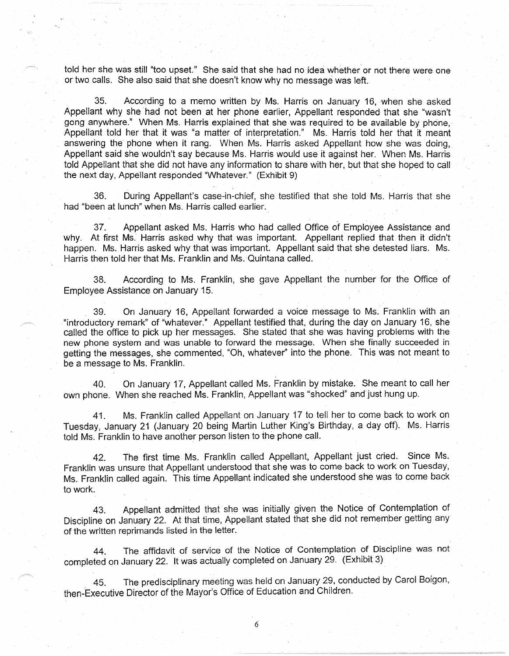told her she was still "too upset." She said that she had no idea whether or not there were one or two calls. She also said that she doesn't know why no message was left.

35. According to a memo written by Ms. Harris on January 16, when she asked Appellant why she had not been at her phone earlier, Appellant responded that she "wasn't gong anywhere." When Ms. Harris explained that she was required *to* be available by phone, Appellant told her that it was "a matter of interpretation." Ms. Harris told her that it meant answering the phone when it rang. When Ms. Harris asked Appellant how she was doing, Appellant said she wouldn't say because Ms. Harris would use it against her. When Ms. Harris told Appellant that she did not have any information to share with her, but that she hoped to call the next day, Appellant responded ''Whatever." (Exhibit 9)

36. During Appellant's case-in-chief, she testified that she told Ms. Harris that she had "been at lunch" when Ms. Harris called earlier.

37. Appellant asked Ms. Harris who had called Office of Employee Assistance and Why. At first Ms. Harris asked why that was important. Appellant replied that then it didn't happen. Ms. Harris asked why that was important. Appellant said that she detested liars. Ms. Harris then told her that Ms. Franklin and Ms. Quintana called.

38. According to Ms. Franklin, she gave Appellant the number for the Office of Employee Assistance on January 15.

39. On January 16, Appellant forwarded a voice message to Ms. Franklin with an "introductory remark" of "whatever." Appellant testified that, during the day on January 16, she called the office to pick up her messages. She stated that she was having problems with the new phone system and was unable to forward the message. When she finally succeeded in getting the messages, she commented, "Oh, whatever'' into the phone. This was not meant to be a message to Ms. Franklin.

40. On January 17, Appellant called Ms. Franklin by mistake. She meant to call her own phone. When she reached Ms. Franklin, Appellant was "shocked" and just hung up.

41. Ms. Franklin called Appellant on January 17 to tell her to come back to work on Tuesday, January 21 (January 20 being Martin Luther King's Birthday, a day off). Ms. Harris told Ms. Franklin to have another person listen to the phone call.

42. The first time Ms. Franklin called Appellant, Appellant just cried. Since Ms. Franklin was unsure that Appellant understood that she was to come back to work on Tuesday, Ms. Franklin called again. This time Appellant indicated she understood she was to come back to work.

43. Appellant admitted that she was initially given the Notice of Contemplation of Discipline on January 22. At that time, Appellant stated that she did not remember getting any of the written reprimands listed in the letter.

44. The affidavit of service of the Notice of Contemplation of Discipline was not completed on January 22. It was actually completed on January 29. (Exhibit 3).

45. The predisciplinary meeting was held on January 29, conducted by Carol Boigon, then-'Executive Director of the Mayor's Office of Education and Children.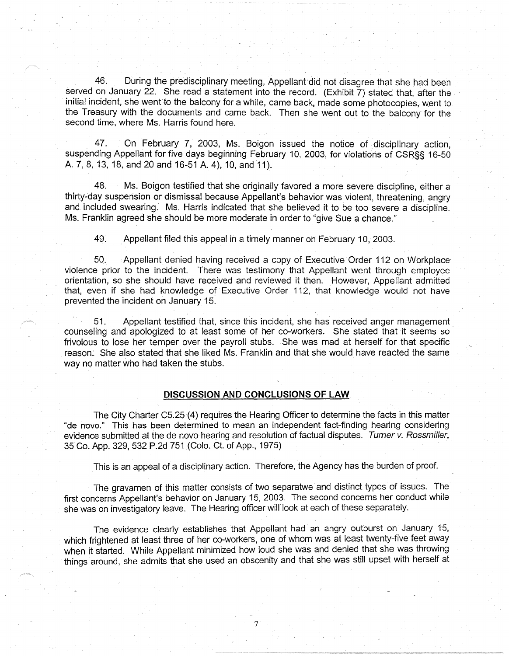46. During the predisciplinary meeting, Appellant did not disagree that she had been served on January 22. She read a statement into the record. (Exhibit 7) stated that, after the initial incident, she went to the balcony for a while, came back, made some photocopies, went to the Treasury with the documents and came back. Then she went out to the balcony for the second time, where Ms. Harris found here.

47. On February 7, 2003, Ms. Boigon issued the notice of disciplinary action, suspending Appellant for five days beginning February 10, 2003, for violations of CSR§§ 16-50 A. 7, 8, 13, 18, and 20 and 16-51 A. 4), 10, and 11).

48. ' Ms. Boigon testified that she originally favored a more severe discipline, either a thirty-day suspension or dismissal because Appellant's behavior was violent, threatening, angry and included swearing. Ms. Harris indicated that she believed it to be too severe a discipline. Ms. Franklin agreed she should be more moderate in order to "give Sue a chance."

49. Appellant filed this appeal in a timely manner oh February 10, 2003.

50. Appellant denied having received a copy of Executive Order 112 on Workplace violence prior to the incident. There was testimony that Appellant went through employee orientation, so she should have received and reviewed it then. However, Appellant admitted that, even if she had knowledge of Executive Order 112, that knowledge would not have prevented the incident on January 15.

51. Appellant testified that, since this incident, she has received anger management counseling and apologized to at least some of her co-workers. She stated that it seems so frivolous to lose her temper over the payroll stubs. She was mad at herself for that specific reason. She also stated that she liked Ms. Franklin and that she would have reacted the same way no matter who had taken the stubs.

. .

#### **DISCUSSION AND CONCLUSIONS OF LAW**

The City Charter C5.25 (4) requires the Hearing Officer to determine the facts in this matter "de novo." This has been determined to mean an independent fact-finding hearing considering evidence submitted at the de novo hearing and resolution of factual disputes. Turner v. Rossmiller, 35 Co. App. 329, 532 P.2d 751 (Colo. Ct. of App., 1975)

This is an appeal of a disciplinary action. Therefore, the Agency has the burden of proof.

The gravamen of this matter consists of two separatwe and distinct types of issues. The first concerns Appellant's behavior on January 15, 2003. The second concerns her conduct while she was on investigatory leave. The Hearing officer will look at each of these separately.

The evidence clearly establishes that Appellant had an angry outburst on January 15, which frightened at least three of her co-workers, one of whom was at least twenty-five feet away when it started. While Appellant minimized how loud she was and denied that she was throwing things around, she admits that she used an obscenity and that she was still upset with herself at

7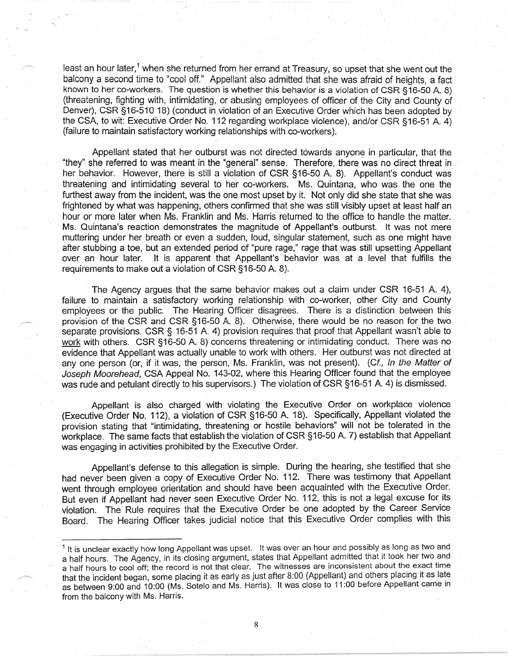least an hour later,<sup>1</sup> when she returned from her errand at Treasury, so upset that she went out the balcony a second time to "cool off." Appellant also admitted that she was afraid of heights, a fact known to her co-workers. The question is whether this behavior is a violation of CSR §16-50 A. 8) (threatening, fighting with, intimidating, or abusing employees of officer of the City and County of Denver), CSR §16-510 18) (conduct in violation of an Executive Order which has been adopted by the CSA, to wit: Executive Order No. 112 regarding workplace violence), and/or CSR §16-51 A. 4) (failure to maintain satisfactory working relationships with co-workers).

Appellant stated that her outburst was not directed towards anyone in particular, that the "they" she referred to was meant in the "general" sense. Therefore, there was no direct threat in her behavior. However, there is still a violation of CSR §16-50 A. 8). Appellant's conduct was threatening and intimidating several to her co-workers. Ms. Quintana, who was the one the furthest away from the incident, was the one most upset by it. Not only did she state that she was frightened by what was happening, others confirmed that she was still visibly upset at least half an hour or more later when Ms. Franklin and Ms. Harris returned to the office to handle the matter. Ms. Quintana's reaction demonstrates the magnitude of Appellant's outburst. It was not mere muttering under her breath or even a sudden, loud, singular statement, such as one might have after stubbing a toe, but an extended period of "pure rage," rage that was still upsetting Appellant over an hour later. It is apparent that Appellant's behavior was at a level that fulfills the requirements to make out a violation of CSR §16-50 A. 8).

The Agency argues that the same behavior makes out a claim under CSR 16-51 A. 4), failure to maintain a satisfactory working relationship with co-worker, other City and County employees or the public. The Hearing Officer disagrees. There is a distinction between this provision of the CSR and CSR §16-50 A. 8). Otherwise, there would be no reason for the two separate provisions. CSR § 16-51 A. 4) provision requires that proof that Appellant wasn't able to work with others. CSR §16-50 A. 8) concerns threatening or intimidating conduct. There was no evidence that Appellant was actually unable to work with others. Her outburst was not directed at any one person (or, if it was, the person, Ms. Franklin, was not present). (Cf., In the Matter of Joseph Moorehead, CSA Appeal No. 143-02, where this Hearing Officer found that the employee was rude and petulant directly to his supervisors.) The violation of CSR §16-51 A 4) is dismissed.

Appellant is also charged with violating the Executive Order on workplace violence (Executive Order No. 112), a violation of CSR §16-50 A 18). Specifically, Appellant violated the provision stating that "intimidating, threatening or hostile behaviors" will not be tolerated in the workplace. The same facts that establish the violation of CSR §16-50 A. 7) establish that Appellant was engaging in activities prohibited by the Executive Order.

Appellant's defense to this allegation is simple. During the hearing, she testified that she had never been given a copy of Executive Order No. 112. There was testimony that Appellant went through employee orientation and should have been acquainted with the Executive Order. But even if Appellant had never seen Executive Order No. 112, this is not a legal excuse for its violation. The· Rule requires that the Executive Order be one adopted by the Career Service Board. The Hearing Officer takes judicial notice that this Executive Order complies with this

 $1$  It is unclear exactly how long Appellant was upset. It was over an hour and possibly as long as two and a half hours. The Agency, in its closing argument, states that Appellant admitted that it took her two and a half hours to cool off; the record is not that clear. The witnesses are inconsistent about the exact time that the incident began, some placing it as early as just after 8:00 (Appellant) and others placing it as late as between 9:00 and 10:00 (Ms. Sotelo and Ms. Harris). It was close to 11 :00 before Appellant came 1n from the balcony with Ms. Harris.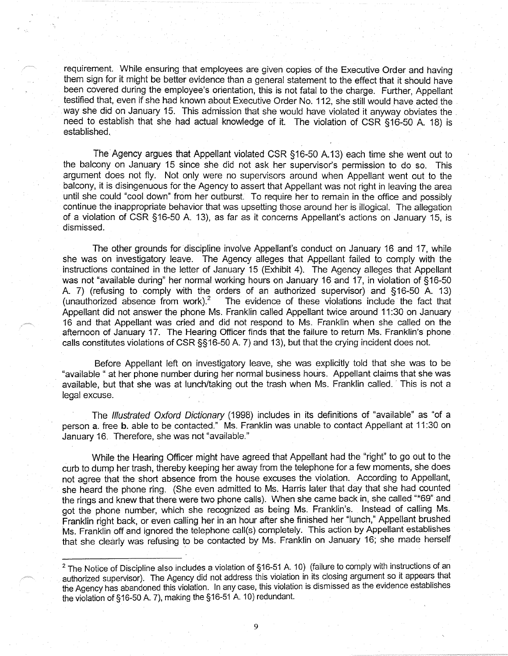requirement. While ensuring that employees are given copies of the Executive Order and having them sign for it might be better evidence than a general statement to the effect that it should have been covered during the employee's orientation, this is not fatal to the charge. Further, Appellant testified that, even if she had known about Executive Order No. 112, she still would have acted the way she did on January 15. This admission that she would have violated it anyway obviates the need to establish that she had actual knowledge of it. The violation of CSR § 16-50 A. 18) is established.

The Agency argues that Appellant violated CSR § 16-50 A.13) each time she went out to the balcony on January 15 since she did not ask her supervisor's permission to do so. This argument does not fly. Not only were no supervisors around when Appellant went out to the balcony, it is disingenuous for the Agency to assert that Appellant was not right in leaving the area until she could "cool down" from her outburst. To require her to remain in the office and possibly continue the inappropriate behavior that was upsetting those around her is illogical. The allegation of a violation of CSR § 16-50 A. 13), as far as it concerns Appellant's actions on January 15, is dismissed.

The other grounds for discipline involve Appellant's conduct on January 16 and 17, while she was on investigatory leave. The Agency alleges that Appellant failed to comply with the instructions contained in the letter of January 15 (Exhibit 4). The Agency alleges that Appellant was not "available during" her normal working hours on January 16 and 17, in violation of §16-50 A. 7) (refusing to comply with the orders of an authorized supervisor) and §16-50 A. 13) (unauthorized absence from work).<sup>2</sup> The evidence of these violations include the fact that The evidence of these violations include the fact that Appellant did not answer the phone Ms. Franklin called Appellant twice around 11 :30 on January 16 and that Appellant was cried and did not respond to Ms. Franklin when she called on the afternoon of January 17. The Hearing Officer finds that the failure to return Ms. Franklin's phone calls constitutes violations of CSR §§ 16-50 A. 7) and 13), but that the crying incident does not.

Before Appellant left on investigatory leave, she was explicitly told that she was to be "available " at her phone number during her normal business hours. Appellant claims that she was available, but that she was at lunch/taking out the trash when Ms. Franklin called. This is not a legal excuse.

The Illustrated Oxford Dictionary (1998) includes in its definitions of "available" as "of a person a. free b. able to be contacted." Ms. Franklin was unable to contact Appellant at 11 :30 on January 16. Therefore, she was not "available."

While the Hearing Officer might have agreed that Appellant had the "right" to go out to the curb to dump her trash, thereby keeping her away from the telephone for a few moments, she does not agree that the short absence from the house excuses the violation. According to Appellant, she heard the phone ring. (She even admitted to Ms. Harris later that day that she had counted the rings and knew that there were two phone calls). When she came back in, she called "\*69" and got the phone number, which she recognized as being Ms. Franklin's. Instead of calling Ms. Franklin right back, or even calling her in an hour after she finished her "lunch," Appellant brushed Ms. Franklin off and ignored the telephone call(s) completely. This action by Appellant establishes that she clearly was refusing to be contacted by Ms. Franklin on January 16; she made herself

 $^2$  The Notice of Discipline also includes a violation of §16-51 A. 10) (failure to comply with instructions of an authorized supervisor). The Agency did not address this violation in its closing argument so it appears that the Agency has abandoned this violation. In any case, this violation is dismissed as the evidence establishes the violation of § 16-50 A. 7), making the § 16-51 A. 10) redundant.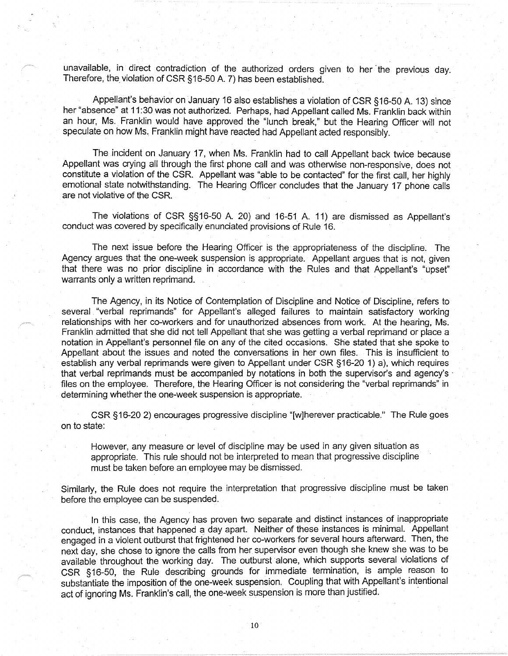unavailable, in direct contradiction of the authorized orders given to her the previous day. Therefore, the violation of CSR §16-50 A. 7) has been established.

Appellant's behavior on January 16 also establishes a violation of CSR §16-50 A. 13) since her "absence" at 11 :30 was not authorized. Perhaps, had Appellant called Ms. Franklin back within an hour, Ms. Franklin would have approved the "lunch break," but the Hearing Officer will not speculate on how Ms. Franklin might have reacted had Appellant acted responsibly.

The incident on January 17, when Ms. Franklin had to call Appellant back twice because Appellant was crying all through the first phone call and was otherwise non-responsive, does not constitute a violation of the CSR. Appellant was "able to be contacted" for the first call, her highly emotional state notwithstanding. The Hearing Officer concludes that the January 17 phone calls are not violative of the CSR.

The violations of CSR §§ 16-50 A 20) and 16-51 A. 11) are dismissed as Appellant's conduct was covered by specifically enunciated provisions of Rule 16.

The next issue before the Hearing Officer is the appropriateness of the discipline. The Agency argues that the one-week suspension is appropriate. Appellant argues that is not, given that there was no prior discipline in accordance with the Rules and that Appellant's "upset" warrants only a written reprimand.

The Agency, in its Notice of Contemplation of Ojscipline and Notice of Discipline, refers to several "verbal reprimands" for Appellant's alleged failures to maintain satisfactory working relationships with her co-workers and for unauthorized absences from work. At the hearing, Ms. Franklin admitted that she did not tell Appellant that she was getting a verbal reprimand or place a notation in Appellant's personnel file on any of the cited occasions. She stated that she spoke to Appellant about the issues and noted the conversations in her own files. This is insufficient to establish any verbal reprimands were given to Appellant under CSR §16-20 1) a), which requires that verbal reprimands must be accompanied by notations in both the supervisor's and agency's files on the employee. Therefore, the Hearing Officer is not considering the "verbal reprimands" in determining whether the one-week suspension is appropriate.

CSR §16-20 2) encourages progressive discipline "[w]herever practicable." The Rule goes on to state:

However, any measure or level of discipline may be used in any given situation as appropriate. This rule should not be interpreted to mean that progressive discipline must be taken before an employee may be dismissed.

Similarly, the Rule does not require the interpretation that progressive discipline must be taken before the employee can be suspended.

In this case, the Agency has proven two separate and distinct instances of inappropriate conduct, instances that happened a day apart. Neither of these instances is minimal. Appellant engaged in a violent outburst that frightened her co-workers for several hours afterward. Then, the next day, she chose to ignore the calls from her supervisor even though she knew she was to be available throughout the working day. The outburst alone, which supports several violations of CSR §16-50, the Rule describing grounds for immediate termination, is ample reason to substantiate the imposition of the one-week suspension. Coupling that with Appellant's intentional act of ignoring Ms. Franklin's call, the one-week suspension is more than justified.